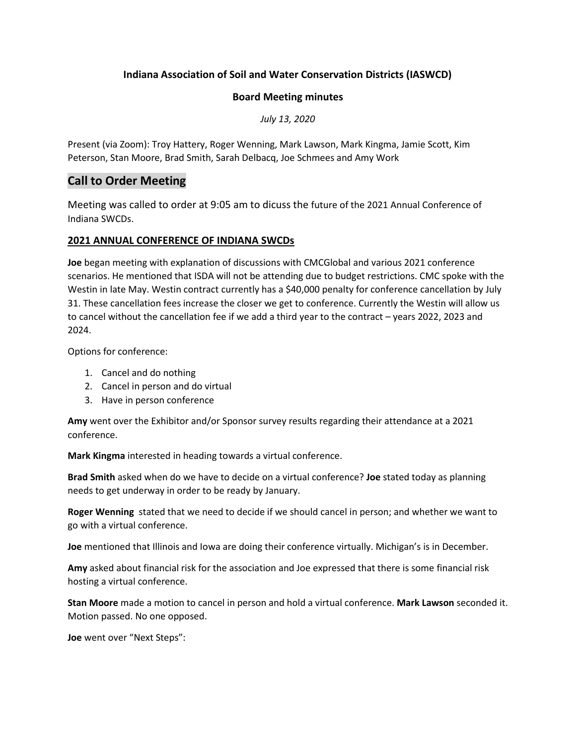### **Indiana Association of Soil and Water Conservation Districts (IASWCD)**

#### **Board Meeting minutes**

*July 13, 2020*

Present (via Zoom): Troy Hattery, Roger Wenning, Mark Lawson, Mark Kingma, Jamie Scott, Kim Peterson, Stan Moore, Brad Smith, Sarah Delbacq, Joe Schmees and Amy Work

## **Call to Order Meeting**

Meeting was called to order at 9:05 am to dicuss the future of the 2021 Annual Conference of Indiana SWCDs.

#### **2021 ANNUAL CONFERENCE OF INDIANA SWCDs**

**Joe** began meeting with explanation of discussions with CMCGlobal and various 2021 conference scenarios. He mentioned that ISDA will not be attending due to budget restrictions. CMC spoke with the Westin in late May. Westin contract currently has a \$40,000 penalty for conference cancellation by July 31. These cancellation fees increase the closer we get to conference. Currently the Westin will allow us to cancel without the cancellation fee if we add a third year to the contract – years 2022, 2023 and 2024.

Options for conference:

- 1. Cancel and do nothing
- 2. Cancel in person and do virtual
- 3. Have in person conference

**Amy** went over the Exhibitor and/or Sponsor survey results regarding their attendance at a 2021 conference.

**Mark Kingma** interested in heading towards a virtual conference.

**Brad Smith** asked when do we have to decide on a virtual conference? **Joe** stated today as planning needs to get underway in order to be ready by January.

**Roger Wenning** stated that we need to decide if we should cancel in person; and whether we want to go with a virtual conference.

**Joe** mentioned that Illinois and Iowa are doing their conference virtually. Michigan's is in December.

**Amy** asked about financial risk for the association and Joe expressed that there is some financial risk hosting a virtual conference.

**Stan Moore** made a motion to cancel in person and hold a virtual conference. **Mark Lawson** seconded it. Motion passed. No one opposed.

**Joe** went over "Next Steps":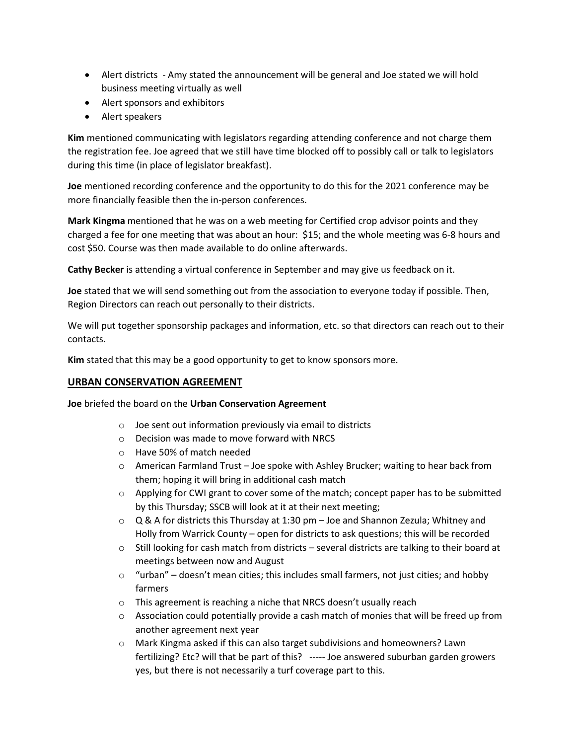- Alert districts Amy stated the announcement will be general and Joe stated we will hold business meeting virtually as well
- Alert sponsors and exhibitors
- Alert speakers

**Kim** mentioned communicating with legislators regarding attending conference and not charge them the registration fee. Joe agreed that we still have time blocked off to possibly call or talk to legislators during this time (in place of legislator breakfast).

**Joe** mentioned recording conference and the opportunity to do this for the 2021 conference may be more financially feasible then the in-person conferences.

**Mark Kingma** mentioned that he was on a web meeting for Certified crop advisor points and they charged a fee for one meeting that was about an hour: \$15; and the whole meeting was 6-8 hours and cost \$50. Course was then made available to do online afterwards.

**Cathy Becker** is attending a virtual conference in September and may give us feedback on it.

**Joe** stated that we will send something out from the association to everyone today if possible. Then, Region Directors can reach out personally to their districts.

We will put together sponsorship packages and information, etc. so that directors can reach out to their contacts.

**Kim** stated that this may be a good opportunity to get to know sponsors more.

#### **URBAN CONSERVATION AGREEMENT**

**Joe** briefed the board on the **Urban Conservation Agreement**

- o Joe sent out information previously via email to districts
- o Decision was made to move forward with NRCS
- o Have 50% of match needed
- $\circ$  American Farmland Trust Joe spoke with Ashley Brucker; waiting to hear back from them; hoping it will bring in additional cash match
- $\circ$  Applying for CWI grant to cover some of the match; concept paper has to be submitted by this Thursday; SSCB will look at it at their next meeting;
- $\circ$  Q & A for districts this Thursday at 1:30 pm Joe and Shannon Zezula; Whitney and Holly from Warrick County – open for districts to ask questions; this will be recorded
- $\circ$  Still looking for cash match from districts several districts are talking to their board at meetings between now and August
- $\circ$  "urban" doesn't mean cities; this includes small farmers, not just cities; and hobby farmers
- o This agreement is reaching a niche that NRCS doesn't usually reach
- $\circ$  Association could potentially provide a cash match of monies that will be freed up from another agreement next year
- o Mark Kingma asked if this can also target subdivisions and homeowners? Lawn fertilizing? Etc? will that be part of this? ----- Joe answered suburban garden growers yes, but there is not necessarily a turf coverage part to this.